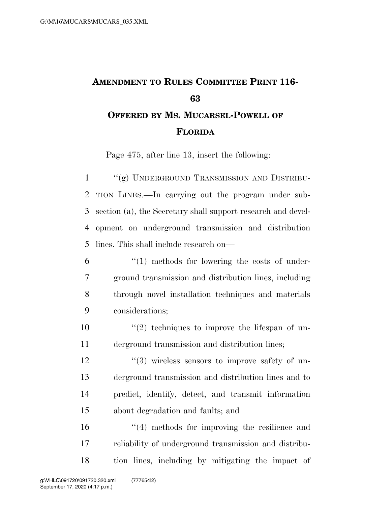## **AMENDMENT TO RULES COMMITTEE PRINT 116- OFFERED BY MS. MUCARSEL-POWELL OF**

## **FLORIDA**

Page 475, after line 13, insert the following:

1 "(g) UNDERGROUND TRANSMISSION AND DISTRIBU- TION LINES.—In carrying out the program under sub- section (a), the Secretary shall support research and devel- opment on underground transmission and distribution lines. This shall include research on—

- ''(1) methods for lowering the costs of under- ground transmission and distribution lines, including through novel installation techniques and materials considerations;
- ''(2) techniques to improve the lifespan of un-derground transmission and distribution lines;

 $\frac{12}{2}$   $\frac{12}{2}$   $\frac{12}{2}$   $\frac{12}{2}$   $\frac{12}{2}$   $\frac{12}{2}$   $\frac{12}{2}$   $\frac{12}{2}$   $\frac{12}{2}$   $\frac{12}{2}$   $\frac{12}{2}$   $\frac{12}{2}$   $\frac{12}{2}$   $\frac{12}{2}$   $\frac{12}{2}$   $\frac{12}{2}$   $\frac{12}{2}$   $\frac{12}{2}$   $\frac{12}{2}$   $\frac{12}{2}$  derground transmission and distribution lines and to predict, identify, detect, and transmit information about degradation and faults; and

16 ''(4) methods for improving the resilience and reliability of underground transmission and distribu-tion lines, including by mitigating the impact of